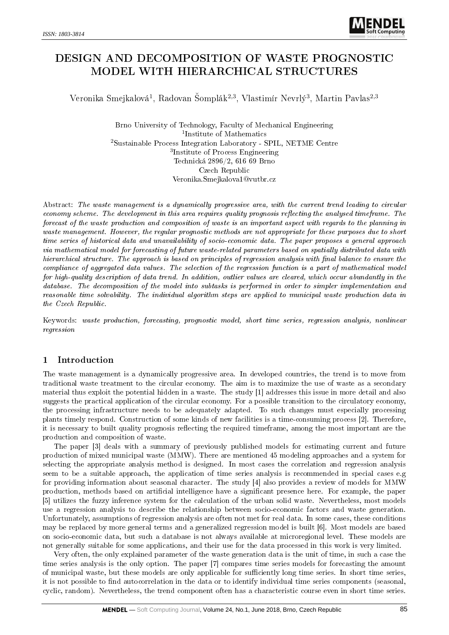# DESIGN AND DECOMPOSITION OF WASTE PROGNOSTIC MODEL WITH HIERARCHICAL STRUCTURES

Veronika Smejkalová<sup>1</sup>, Radovan Šomplák<sup>2,3</sup>, Vlastimír Nevrlý<sup>3</sup>, Martin Pavlas<sup>2,3</sup>

Brno University of Technology, Faculty of Mechanical Engineering 1 Institute of Mathematics <sup>2</sup>Sustainable Process Integration Laboratory - SPIL, NETME Centre 3 Institute of Process Engineering Technická 2896/2, 616 69 Brno Czech Republic Veronika.Smejkalova1@vutbr.cz

Abstract: The waste management is a dynamically progressive area, with the current trend leading to circular economy scheme. The development in this area requires quality prognosis reflecting the analysed timeframe. The forecast of the waste production and composition of waste is an important aspect with regards to the planning in waste management. However, the regular prognostic methods are not appropriate for these purposes due to short time series of historical data and unavailability of socio-economic data. The paper proposes a general approach via mathematical model for forecasting of future waste-related parameters based on spatially distributed data with hierarchical structure. The approach is based on principles of regression analysis with final balance to ensure the compliance of aggregated data values. The selection of the regression function is a part of mathematical model for high-quality description of data trend. In addition, outlier values are cleared, which occur abundantly in the database. The decomposition of the model into subtasks is performed in order to simpler implementation and reasonable time solvability. The individual algorithm steps are applied to municipal waste production data in the Czech Republic.

Keywords: waste production, forecasting, prognostic model, short time series, regression analysis, nonlinear regression

## 1 Introduction

The waste management is a dynamically progressive area. In developed countries, the trend is to move from traditional waste treatment to the circular economy. The aim is to maximize the use of waste as a secondary material thus exploit the potential hidden in a waste. The study [1] addresses this issue in more detail and also suggests the practical application of the circular economy. For a possible transition to the circulatory economy, the processing infrastructure needs to be adequately adapted. To such changes must especially processing plants timely respond. Construction of some kinds of new facilities is a time-consuming process [2]. Therefore, it is necessary to built quality prognosis reflecting the required timeframe, among the most important are the production and composition of waste.

The paper [3] deals with a summary of previously published models for estimating current and future production of mixed municipal waste (MMW). There are mentioned 45 modeling approaches and a system for selecting the appropriate analysis method is designed. In most cases the correlation and regression analysis seem to be a suitable approach, the application of time series analysis is recommended in special cases e.g for providing information about seasonal character. The study [4] also provides a review of models for MMW production, methods based on articial intelligence have a signicant presence here. For example, the paper [5] utilizes the fuzzy inference system for the calculation of the urban solid waste. Nevertheless, most models use a regression analysis to describe the relationship between socio-economic factors and waste generation. Unfortunately, assumptions of regression analysis are often not met for real data. In some cases, these conditions may be replaced by more general terms and a generalized regression model is built [6]. Most models are based on socio-economic data, but such a database is not always available at microregional level. These models are not generally suitable for some applications, and their use for the data processed in this work is very limited.

Very often, the only explained parameter of the waste generation data is the unit of time, in such a case the time series analysis is the only option. The paper [7] compares time series models for forecasting the amount of municipal waste, but these models are only applicable for sufficiently long time series. In short time series, it is not possible to find autocorrelation in the data or to identify individual time series components (seasonal, cyclic, random). Nevertheless, the trend component often has a characteristic course even in short time series.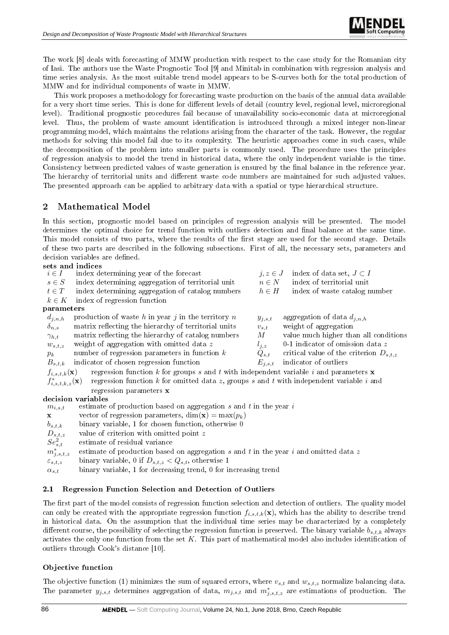

The work [8] deals with forecasting of MMW production with respect to the case study for the Romanian city of Iasi. The authors use the Waste Prognostic Tool [9] and Minitab in combination with regression analysis and time series analysis. As the most suitable trend model appears to be S-curves both for the total production of MMW and for individual components of waste in MMW.

This work proposes a methodology for forecasting waste production on the basis of the annual data available for a very short time series. This is done for different levels of detail (country level, regional level, microregional level). Traditional prognostic procedures fail because of unavailability socio-economic data at microregional level. Thus, the problem of waste amount identification is introduced through a mixed integer non-linear programming model, which maintains the relations arising from the character of the task. However, the regular methods for solving this model fail due to its complexity. The heuristic approaches come in such cases, while the decomposition of the problem into smaller parts is commonly used. The procedure uses the principles of regression analysis to model the trend in historical data, where the only independent variable is the time. Consistency between predicted values of waste generation is ensured by the final balance in the reference year. The hierarchy of territorial units and different waste code numbers are maintained for such adjusted values. The presented approach can be applied to arbitrary data with a spatial or type hierarchical structure.

### 2 Mathematical Model

In this section, prognostic model based on principles of regression analysis will be presented. The model determines the optimal choice for trend function with outliers detection and final balance at the same time. This model consists of two parts, where the results of the first stage are used for the second stage. Details of these two parts are described in the following subsections. First of all, the necessary sets, parameters and decision variables are defined

#### sets in di

| index determining year of the forecast                          |                                                                                                | index of data set, $J \subset I$                                                                                                                                                                                                                                                                                        |
|-----------------------------------------------------------------|------------------------------------------------------------------------------------------------|-------------------------------------------------------------------------------------------------------------------------------------------------------------------------------------------------------------------------------------------------------------------------------------------------------------------------|
| index determining aggregation of territorial unit               | $n \in N$                                                                                      | index of territorial unit                                                                                                                                                                                                                                                                                               |
| index determining aggregation of catalog numbers                | $h\in H$                                                                                       | index of waste catalog number                                                                                                                                                                                                                                                                                           |
| index of regression function                                    |                                                                                                |                                                                                                                                                                                                                                                                                                                         |
|                                                                 |                                                                                                |                                                                                                                                                                                                                                                                                                                         |
| production of waste $h$ in year $j$ in the territory $n$        | $y_{j,s,t}$                                                                                    | aggregation of data $d_{j,n,h}$                                                                                                                                                                                                                                                                                         |
| matrix reflecting the hierarchy of territorial units            | $v_{s,t}$                                                                                      | weight of aggregation                                                                                                                                                                                                                                                                                                   |
| matrix reflecting the hierarchy of catalog numbers              | $M_{\odot}$                                                                                    | value much higher than all conditions                                                                                                                                                                                                                                                                                   |
| weight of aggregation with omitted data z                       | $l_{j,z}$                                                                                      | 0-1 indicator of omission data $z$                                                                                                                                                                                                                                                                                      |
| number of regression parameters in function $k$                 | $Q_{s,t}$                                                                                      | critical value of the criterion $D_{s,t,z}$                                                                                                                                                                                                                                                                             |
| indicator of chosen regression function                         |                                                                                                | indicator of outliers                                                                                                                                                                                                                                                                                                   |
|                                                                 |                                                                                                |                                                                                                                                                                                                                                                                                                                         |
|                                                                 |                                                                                                |                                                                                                                                                                                                                                                                                                                         |
| regression parameters x                                         |                                                                                                |                                                                                                                                                                                                                                                                                                                         |
|                                                                 |                                                                                                |                                                                                                                                                                                                                                                                                                                         |
|                                                                 |                                                                                                |                                                                                                                                                                                                                                                                                                                         |
| vector of regression parameters, $\dim(\mathbf{x}) = \max(p_k)$ |                                                                                                |                                                                                                                                                                                                                                                                                                                         |
|                                                                 | parameters<br>$f_{i,s,t,k}(\mathbf{x})$<br>$f_{i,s,t,k,z}^*(\mathbf{x})$<br>decision variables | sets and muices<br>$j, z \in J$<br>$E_{j,s,t}$<br>regression function k for groups s and t with independent variable i and parameters $\bf{x}$<br>regression function $k$ for omitted data z, groups s and t with independent variable i and<br>estimate of production based on aggregation $s$ and $t$ in the year $i$ |

 $b_{s,t,k}$  binary variable, 1 for chosen function, otherwise 0

- $D_{s,t,z}$  value of criterion with omitted point z
- $Se_{s,t}^2$ estimate of residual variance

 $m_{j,s,t,z}^{\ast}$ estimate of production based on aggregation  $s$  and  $t$  in the year  $i$  and omitted data  $z$ 

 $\varepsilon_{s,t,z}$  binary variable, 0 if  $D_{s,t,z} < Q_{s,t}$ , otherwise 1

 $\alpha_{s,t}$  binary variable, 1 for decreasing trend, 0 for increasing trend

### 2.1 Regression Function Selection and Detection of Outliers

The first part of the model consists of regression function selection and detection of outliers. The quality model can only be created with the appropriate regression function  $f_{i,s,t,k}(\mathbf{x})$ , which has the ability to describe trend in historical data. On the assumption that the individual time series may be characterized by a completely different course, the possibility of selecting the regression function is preserved. The binary variable  $b_{s,t,k}$  always activates the only one function from the set  $K$ . This part of mathematical model also includes identification of outliers through Cook's distance [10].

### Objective function

The objective function (1) minimizes the sum of squared errors, where  $v_{s,t}$  and  $w_{s,t,z}$  normalize balancing data. The parameter  $y_{j,s,t}$  determines aggregation of data,  $m_{j,s,t}$  and  $m_{j,s,t,z}^*$  are estimations of production. The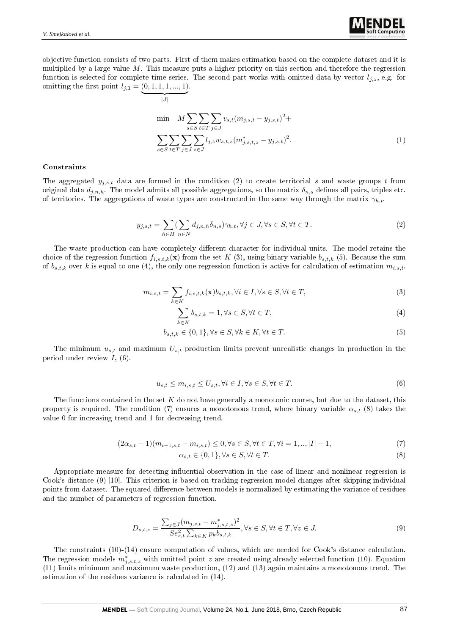objective function consists of two parts. First of them makes estimation based on the complete dataset and it is multiplied by a large value M. This measure puts a higher priority on this section and therefore the regression function is selected for complete time series. The second part works with omitted data by vector  $l_{j,z}$ , e.g. for omitting the first point  $l_{j,1} = (0, 1, 1, 1, ..., 1)$ .

$$
\overline{\lim_{|J|}} \quad M \sum_{s \in S} \sum_{t \in T} \sum_{j \in J} v_{s,t} (m_{j,s,t} - y_{j,s,t})^2 +
$$
\n
$$
\sum_{s \in S} \sum_{t \in T} \sum_{j \in J} \sum_{z \in J} l_{j,z} w_{s,t,z} (m_{j,s,t,z}^* - y_{j,s,t})^2.
$$
\n(1)

#### Constraints

The aggregated  $y_{i,s,t}$  data are formed in the condition (2) to create territorial s and waste groups t from original data  $d_{i,n,h}$ . The model admits all possible aggregations, so the matrix  $\delta_{n,s}$  defines all pairs, triples etc. of territories. The aggregations of waste types are constructed in the same way through the matrix  $\gamma_{h,t}$ .

$$
y_{j,s,t} = \sum_{h \in H} \left( \sum_{n \in N} d_{j,n,h} \delta_{n,s} \right) \gamma_{h,t}, \forall j \in J, \forall s \in S, \forall t \in T.
$$
\n
$$
(2)
$$

The waste production can have completely different character for individual units. The model retains the choice of the regression function  $f_{i,s,t,k}(\mathbf{x})$  from the set K (3), using binary variable  $b_{s,t,k}$  (5). Because the sum of  $b_{s,t,k}$  over k is equal to one (4), the only one regression function is active for calculation of estimation  $m_{i,s,t}$ .

$$
m_{i,s,t} = \sum_{k \in K} f_{i,s,t,k}(\mathbf{x}) b_{s,t,k}, \forall i \in I, \forall s \in S, \forall t \in T,
$$
\n(3)

$$
\sum_{k \in K} b_{s,t,k} = 1, \forall s \in S, \forall t \in T,
$$
\n
$$
(4)
$$

$$
b_{s,t,k} \in \{0,1\}, \forall s \in S, \forall k \in K, \forall t \in T.
$$
\n
$$
(5)
$$

The minimum  $u_{s,t}$  and maximum  $U_{s,t}$  production limits prevent unrealistic changes in production in the period under review  $I$ ,  $(6)$ .

$$
u_{s,t} \le m_{i,s,t} \le U_{s,t}, \forall i \in I, \forall s \in S, \forall t \in T.
$$
\n
$$
(6)
$$

The functions contained in the set  $K$  do not have generally a monotonic course, but due to the dataset, this property is required. The condition (7) ensures a monotonous trend, where binary variable  $\alpha_{s,t}$  (8) takes the value 0 for increasing trend and 1 for decreasing trend.

$$
(2\alpha_{s,t} - 1)(m_{i+1,s,t} - m_{i,s,t}) \le 0, \forall s \in S, \forall t \in T, \forall i = 1, ..., |I| - 1,
$$
\n(7)

$$
\alpha_{s,t} \in \{0,1\}, \forall s \in S, \forall t \in T. \tag{8}
$$

Appropriate measure for detecting influential observation in the case of linear and nonlinear regression is Cook's distance (9) [10]. This criterion is based on tracking regression model changes after skipping individual points from dataset. The squared difference between models is normalized by estimating the variance of residues and the number of parameters of regression function.

$$
D_{s,t,z} = \frac{\sum_{j \in J} (m_{j,s,t} - m_{j,s,t,z}^*)^2}{Se_{s,t}^2 \sum_{k \in K} p_k b_{s,t,k}}, \forall s \in S, \forall t \in T, \forall z \in J.
$$
\n(9)

The constraints (10)-(14) ensure computation of values, which are needed for Cook's distance calculation. The regression models  $m^*_{j,s,t,z}$  with omitted point z are created using already selected function (10). Equation (11) limits minimum and maximum waste production, (12) and (13) again maintains a monotonous trend. The estimation of the residues variance is calculated in (14).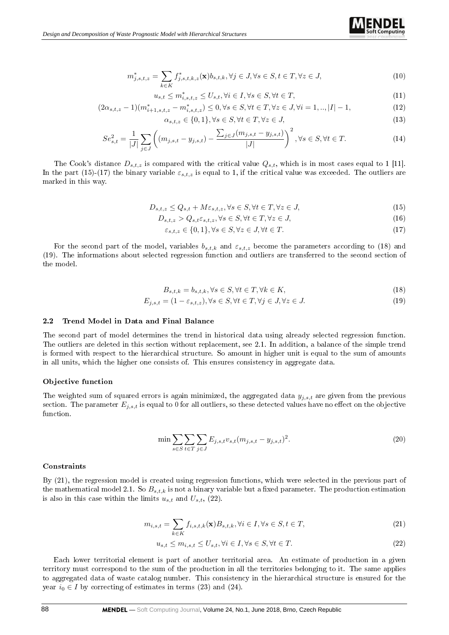

$$
u_{s,t} \le m_{i,s,t,z}^* \le U_{s,t}, \forall i \in I, \forall s \in S, \forall t \in T,
$$
\n
$$
(11)
$$

$$
(2\alpha_{s,t,z}-1)(m^*_{i+1,s,t,z}-m^*_{i,s,t,z}) \le 0, \forall s \in S, \forall t \in T, \forall z \in J, \forall i = 1,..,|I|-1,
$$
\n
$$
(12)
$$

$$
\alpha_{s,t,z} \in \{0,1\}, \forall s \in S, \forall t \in T, \forall z \in J,\tag{13}
$$

$$
Se_{s,t}^{2} = \frac{1}{|J|} \sum_{j \in J} \left( (m_{j,s,t} - y_{j,s,t}) - \frac{\sum_{j \in J} (m_{j,s,t} - y_{j,s,t})}{|J|} \right)^{2}, \forall s \in S, \forall t \in T.
$$
 (14)

The Cook's distance  $D_{s,t,z}$  is compared with the critical value  $Q_{s,t}$ , which is in most cases equal to 1 [11]. In the part (15)-(17) the binary variable  $\varepsilon_{s,t,z}$  is equal to 1, if the critical value was exceeded. The outliers are marked in this way.

$$
D_{s,t,z} \le Q_{s,t} + M\varepsilon_{s,t,z}, \forall s \in S, \forall t \in T, \forall z \in J,
$$
\n
$$
(15)
$$

$$
D_{s,t,z} > Q_{s,t} \varepsilon_{s,t,z}, \forall s \in S, \forall t \in T, \forall z \in J,
$$
\n
$$
(16)
$$

$$
\varepsilon_{s,t,z} \in \{0,1\}, \forall s \in S, \forall z \in J, \forall t \in T.
$$
\n
$$
(17)
$$

For the second part of the model, variables  $b_{s,t,k}$  and  $\varepsilon_{s,t,z}$  become the parameters according to (18) and (19). The informations about selected regression function and outliers are transferred to the second section of the model.

$$
B_{s,t,k} = b_{s,t,k}, \forall s \in S, \forall t \in T, \forall k \in K,
$$
\n
$$
(18)
$$

$$
E_{j,s,t} = (1 - \varepsilon_{s,t,z}), \forall s \in S, \forall t \in T, \forall j \in J, \forall z \in J.
$$
\n
$$
(19)
$$

#### 2.2 Trend Model in Data and Final Balance

The second part of model determines the trend in historical data using already selected regression function. The outliers are deleted in this section without replacement, see 2.1. In addition, a balance of the simple trend is formed with respect to the hierarchical structure. So amount in higher unit is equal to the sum of amounts in all units, which the higher one consists of. This ensures consistency in aggregate data.

#### Objective function

The weighted sum of squared errors is again minimized, the aggregated data  $y_{j,s,t}$  are given from the previous section. The parameter  $E_{j,s,t}$  is equal to 0 for all outliers, so these detected values have no effect on the objective function.

$$
\min \sum_{s \in S} \sum_{t \in T} \sum_{j \in J} E_{j,s,t} v_{s,t} (m_{j,s,t} - y_{j,s,t})^2.
$$
\n(20)

#### **Constraints**

By (21), the regression model is created using regression functions, which were selected in the previous part of the mathematical model 2.1. So  $B_{s,t,k}$  is not a binary variable but a fixed parameter. The production estimation is also in this case within the limits  $u_{s,t}$  and  $U_{s,t}$ , (22).

$$
m_{i,s,t} = \sum_{k \in K} f_{i,s,t,k}(\mathbf{x}) B_{s,t,k}, \forall i \in I, \forall s \in S, t \in T,
$$
\n
$$
(21)
$$

$$
u_{s,t} \le m_{i,s,t} \le U_{s,t}, \forall i \in I, \forall s \in S, \forall t \in T.
$$
\n
$$
(22)
$$

Each lower territorial element is part of another territorial area. An estimate of production in a given territory must correspond to the sum of the production in all the territories belonging to it. The same applies to aggregated data of waste catalog number. This consistency in the hierarchical structure is ensured for the year  $i_0 \in I$  by correcting of estimates in terms (23) and (24).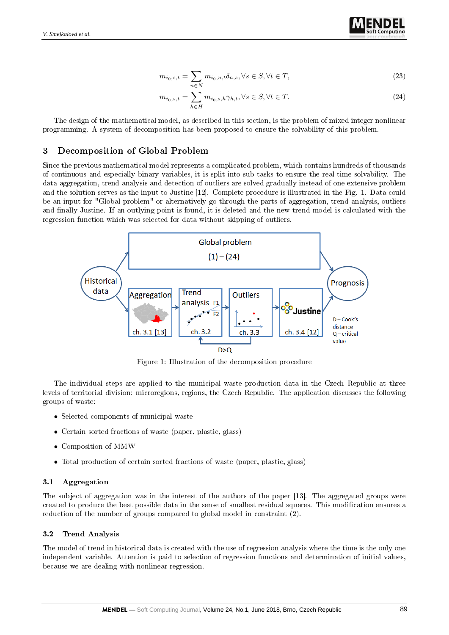

$$
m_{i_0,s,t} = \sum_{n \in \mathbb{N}} m_{i_0,n,t} \delta_{n,s}, \forall s \in \mathbb{S}, \forall t \in \mathbb{T},
$$
\n
$$
(23)
$$

$$
m_{i_0,s,t} = \sum_{h \in H} m_{i_0,s,h} \gamma_{h,t}, \forall s \in S, \forall t \in T.
$$
\n
$$
(24)
$$

The design of the mathematical model, as described in this section, is the problem of mixed integer nonlinear programming. A system of decomposition has been proposed to ensure the solvability of this problem.

### 3 Decomposition of Global Problem

Since the previous mathematical model represents a complicated problem, which contains hundreds of thousands of continuous and especially binary variables, it is split into sub-tasks to ensure the real-time solvability. The data aggregation, trend analysis and detection of outliers are solved gradually instead of one extensive problem and the solution serves as the input to Justine [12]. Complete procedure is illustrated in the Fig. 1. Data could be an input for "Global problem" or alternatively go through the parts of aggregation, trend analysis, outliers and finally Justine. If an outlying point is found, it is deleted and the new trend model is calculated with the regression function which was selected for data without skipping of outliers.



Figure 1: Illustration of the decomposition procedure

The individual steps are applied to the municipal waste production data in the Czech Republic at three levels of territorial division: microregions, regions, the Czech Republic. The application discusses the following groups of waste:

- Selected components of municipal waste
- Certain sorted fractions of waste (paper, plastic, glass)
- Composition of MMW
- Total production of certain sorted fractions of waste (paper, plastic, glass)

#### 3.1 Aggregation

The subject of aggregation was in the interest of the authors of the paper [13]. The aggregated groups were created to produce the best possible data in the sense of smallest residual squares. This modification ensures a reduction of the number of groups compared to global model in constraint (2).

#### 3.2 Trend Analysis

The model of trend in historical data is created with the use of regression analysis where the time is the only one independent variable. Attention is paid to selection of regression functions and determination of initial values, because we are dealing with nonlinear regression.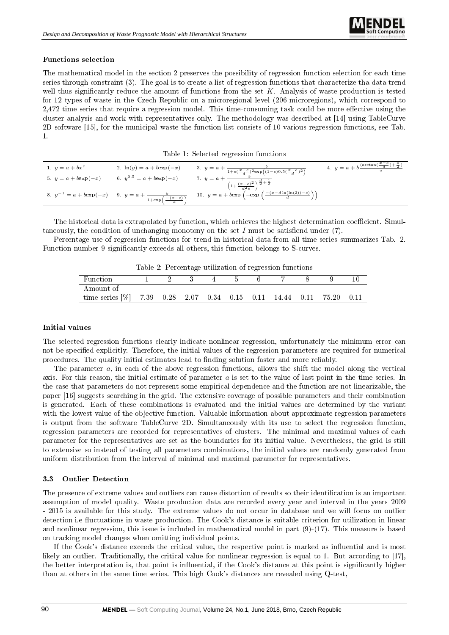### Functions selection

The mathematical model in the section 2 preserves the possibility of regression function selection for each time series through constraint (3). The goal is to create a list of regression functions that characterize tha data trend well thus significantly reduce the amount of functions from the set  $K$ . Analysis of waste production is tested for 12 types of waste in the Czech Republic on a microregional level (206 microregions), which correspond to 2,472 time series that require a regression model. This time-consuming task could be more effective using the cluster analysis and work with representatives only. The methodology was described at [14] using TableCurve 2D software [15], for the municipal waste the function list consists of 10 various regression functions, see Tab. 1.

Table 1: Selected regression functions

| 1. $y = a + bx^c$       | 2. $\ln(y) = a + b \exp(-x)$                                                              | 3. $y = a + \frac{b}{1 + e(\frac{x - c}{d})^2 \exp((1 - e)0.5(\frac{x - c}{d})^2)}$                                       | 4. $y = a + b \frac{(\arctan(\frac{x-c}{d}) + \frac{\pi}{2})}{a}$ |
|-------------------------|-------------------------------------------------------------------------------------------|---------------------------------------------------------------------------------------------------------------------------|-------------------------------------------------------------------|
| 5. $y = a + b \exp(-x)$ | 6. $y^{0.5} = a + b \exp(-x)$                                                             | $\left(1+\frac{(x-c)^2}{d^2e}\right)^{\frac{d}{2}+\frac{1}{2}}$                                                           |                                                                   |
|                         | 8. $y^{-1} = a + b \exp(-x)$ 9. $y = a + \frac{b}{1 + \exp\left(-\frac{x - c}{x}\right)}$ | $\begin{pmatrix} 10. & y = a + b \exp \left( -\exp \left( \frac{-(x-d \ln(\ln(2)) - c)}{d} \right) \right) \end{pmatrix}$ |                                                                   |

The historical data is extrapolated by function, which achieves the highest determination coefficient. Simultaneously, the condition of unchanging monotony on the set I must be satisfiend under  $(7)$ .

Percentage use of regression functions for trend in historical data from all time series summarizes Tab. 2. Function number 9 signicantly exceeds all others, this function belongs to S-curves.

| Table 2: Percentage utilization of regression functions |  |  |  |
|---------------------------------------------------------|--|--|--|
|---------------------------------------------------------|--|--|--|

|                                                             |  | $\cdot$ $\cdot$ |  |  |       |      |
|-------------------------------------------------------------|--|-----------------|--|--|-------|------|
| Function                                                    |  |                 |  |  |       |      |
| Amount of                                                   |  |                 |  |  |       |      |
| time series $[\%]$ 7.39 0.28 2.07 0.34 0.15 0.11 14.44 0.11 |  |                 |  |  | 75.20 | 0.11 |

### Initial values

The selected regression functions clearly indicate nonlinear regression, unfortunately the minimum error can not be specified explicitly. Therefore, the initial values of the regression parameters are required for numerical procedures. The quality initial estimates lead to finding solution faster and more reliably.

The parameter a, in each of the above regression functions, allows the shift the model along the vertical axis. For this reason, the initial estimate of parameter  $a$  is set to the value of last point in the time series. In the case that parameters do not represent some empirical dependence and the function are not linearizable, the paper [16] suggests searching in the grid. The extensive coverage of possible parameters and their combination is generated. Each of these combinations is evaluated and the initial values are determined by the variant with the lowest value of the objective function. Valuable information about approximate regression parameters is output from the software TableCurve 2D. Simultaneously with its use to select the regression function, regression parameters are recorded for representatives of clusters. The minimal and maximal values of each parameter for the representatives are set as the boundaries for its initial value. Nevertheless, the grid is still to extensive so instead of testing all parameters combinations, the initial values are randomly generated from uniform distribution from the interval of minimal and maximal parameter for representatives.

### 3.3 Outlier Detection

The presence of extreme values and outliers can cause distortion of results so their identification is an important assumption of model quality. Waste production data are recorded every year and interval in the years 2009 - 2015 is available for this study. The extreme values do not occur in database and we will focus on outlier detection i.e fluctuations in waste production. The Cook's distance is suitable criterion for utilization in linear and nonlinear regression, this issue is included in mathematical model in part (9)-(17). This measure is based on tracking model changes when omitting individual points.

If the Cook's distance exceeds the critical value, the respective point is marked as influential and is most likely an outlier. Traditionally, the critical value for nonlinear regression is equal to 1. But according to [17], the better interpretation is, that point is influential, if the Cook's distance at this point is significantly higher than at others in the same time series. This high Cook's distances are revealed using Q-test,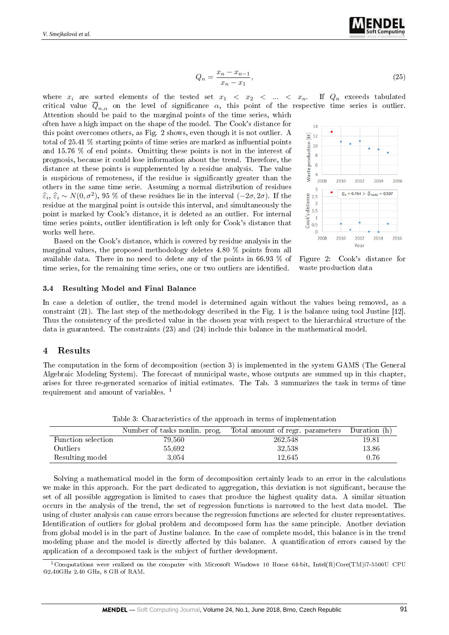

$$
Q_n = \frac{x_n - x_{n-1}}{x_n - x_1},\tag{25}
$$

where  $x_i$  are sorted elements of the tested set  $x_1 < x_2 < \ldots < x_n$ . If  $Q_n$  exceeds tabulated critical value  $\overline{Q}_{n,\alpha}$  on the level of significance  $\alpha$ , this point of the respective time series is outlier. Attention should be paid to the marginal points of the time series, which

often have a high impact on the shape of the model. The Cook's distance for this point overcomes others, as Fig. 2 shows, even though it is not outlier. A total of  $25.41\%$  starting points of time series are marked as influential points and 15.76 % of end points. Omitting these points is not in the interest of prognosis, because it could lose information about the trend. Therefore, the distance at these points is supplemented by a residue analysis. The value is suspicious of remoteness, if the residue is significantly greater than the others in the same time serie. Assuming a normal distribution of residues  $\hat{\epsilon}_i, \hat{\epsilon}_i \sim N(0, \sigma^2), 95$  % of these residues lie in the interval  $(-2\sigma, 2\sigma)$ . If the residue at the marginal point is outside this interval, and simultaneously the residue at the marginal point is outside this interval, and simultaneously the point is marked by Cook's distance, it is deleted as an outlier. For internal time series points, outlier identification is left only for Cook's distance that works well here.

Based on the Cook's distance, which is covered by residue analysis in the marginal values, the proposed methodology deletes 4.80 % points from all available data. There in no need to delete any of the points in 66.93 % of time series, for the remaining time series, one or two outliers are identified.



Figure 2: Cook's distance for waste production data

#### 3.4 Resulting Model and Final Balance

In case a deletion of outlier, the trend model is determined again without the values being removed, as a constraint (21). The last step of the methodology described in the Fig. 1 is the balance using tool Justine [12]. Thus the consistency of the predicted value in the chosen year with respect to the hierarchical structure of the data is guaranteed. The constraints (23) and (24) include this balance in the mathematical model.

#### 4 Results

The computation in the form of decomposition (section 3) is implemented in the system GAMS (The General Algebraic Modeling System). The forecast of municipal waste, whose outputs are summed up in this chapter, arises for three re-generated scenarios of initial estimates. The Tab. 3 summarizes the task in terms of time requirement and amount of variables. <sup>1</sup>

| Table of Characterheies of the approach in terms of imprementation |                               |                                  |              |  |  |
|--------------------------------------------------------------------|-------------------------------|----------------------------------|--------------|--|--|
|                                                                    | Number of tasks nonlin. prog. | Total amount of regr. parameters | Duration (h) |  |  |
| Function selection                                                 | 79,560                        | 262,548                          | 19.81        |  |  |
| <b>Outliers</b>                                                    | 55,692                        | 32,538                           | 13.86        |  |  |
| Resulting model                                                    | 3.054                         | 12.645                           | 0.76         |  |  |

Table 3: Characteristics of the approach in terms of implementation

Solving a mathematical model in the form of decomposition certainly leads to an error in the calculations we make in this approach. For the part dedicated to aggregation, this deviation is not significant, because the set of all possible aggregation is limited to cases that produce the highest quality data. A similar situation occurs in the analysis of the trend, the set of regression functions is narrowed to the best data model. The using of cluster analysis can cause errors because the regression functions are selected for cluster representatives. Identification of outliers for global problem and decomposed form has the same principle. Another deviation from global model is in the part of Justine balance. In the case of complete model, this balance is in the trend modeling phase and the model is directly affected by this balance. A quantification of errors caused by the application of a decomposed task is the subject of further development.

<sup>1</sup>Computations were realized on the computer with Microsoft Windows 10 Home 64-bit, Intel(R)Core(TM)i7-5500U CPU @2.40GHz 2.40 GHz, 8 GB of RAM.